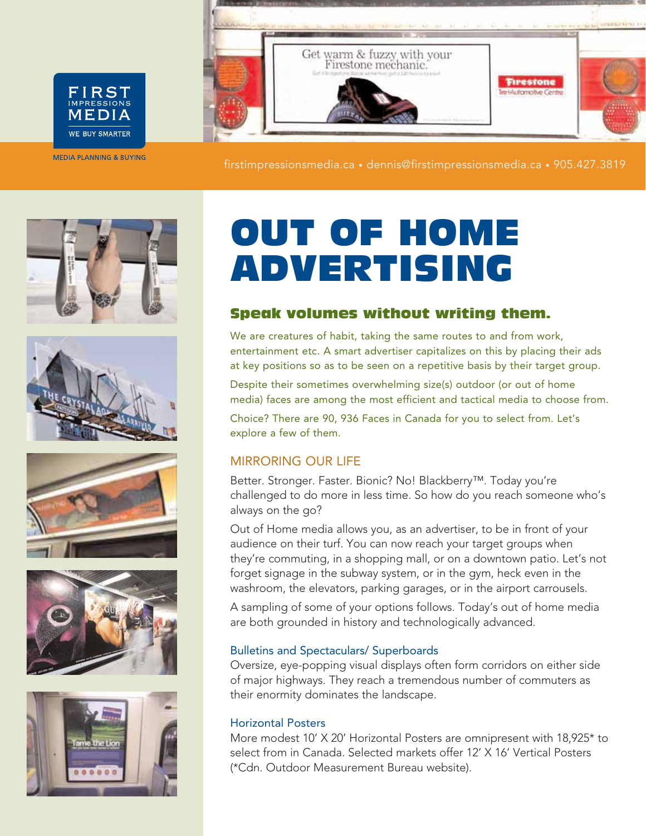

FIRST MEDIA WE BUY SMARTER

**MEDIA PLANNING & BUYING** 

firstimpressionsmedia.ca • dennis@firstimpressionsmedia.ca • 905.427.3819











# OUT OF HOME ADVERTISING

# Speak volumes without writing them.

We are creatures of habit, taking the same routes to and from work, entertainment etc. A smart advertiser capitalizes on this by placing their ads at key positions so as to be seen on a repetitive basis by their target group.

Despite their sometimes overwhelming size(s) outdoor (or out of home media) faces are among the most efficient and tactical media to choose from.

Choice? There are 90, 936 Faces in Canada for you to select from. Let's explore a few of them.

# MIRRORING OUR LIFE

Better. Stronger. Faster. Bionic? No! Blackberry™. Today you're challenged to do more in less time. So how do you reach someone who's always on the go?

Out of Home media allows you, as an advertiser, to be in front of your audience on their turf. You can now reach your target groups when they're commuting, in a shopping mall, or on a downtown patio. Let's not forget signage in the subway system, or in the gym, heck even in the washroom, the elevators, parking garages, or in the airport carrousels.

A sampling of some of your options follows. Today's out of home media are both grounded in history and technologically advanced.

# Bulletins and Spectaculars/ Superboards

Oversize, eye-popping visual displays often form corridors on either side of major highways. They reach a tremendous number of commuters as their enormity dominates the landscape.

### Horizontal Posters

More modest 10' X 20' Horizontal Posters are omnipresent with 18,925\* to select from in Canada. Selected markets offer 12' X 16' Vertical Posters (\*Cdn. Outdoor Measurement Bureau website).